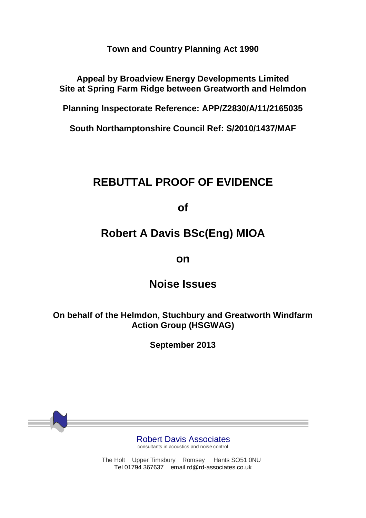**Town and Country Planning Act 1990**

**Appeal by Broadview Energy Developments Limited Site at Spring Farm Ridge between Greatworth and Helmdon**

**Planning Inspectorate Reference: APP/Z2830/A/11/2165035**

**South Northamptonshire Council Ref: S/2010/1437/MAF**

# **REBUTTAL PROOF OF EVIDENCE**

**of**

# **Robert A Davis BSc(Eng) MIOA**

### **on**

## **Noise Issues**

**On behalf of the Helmdon, Stuchbury and Greatworth Windfarm Action Group (HSGWAG)** 

**September 2013**

Robert Davis Associates

consultants in acoustics and noise control

The Holt Upper Timsbury Romsey Hants SO51 0NU Tel 01794 367637 email rd@rd-associates.co.uk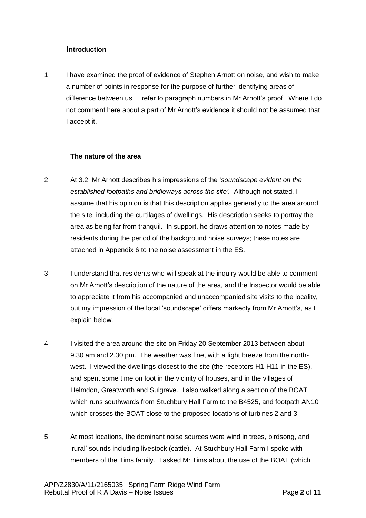#### **Introduction**

1 I have examined the proof of evidence of Stephen Arnott on noise, and wish to make a number of points in response for the purpose of further identifying areas of difference between us. I refer to paragraph numbers in Mr Arnott's proof. Where I do not comment here about a part of Mr Arnott's evidence it should not be assumed that I accept it.

#### **The nature of the area**

- 2 At 3.2, Mr Arnott describes his impressions of the '*soundscape evident on the established footpaths and bridleways across the site'.* Although not stated, I assume that his opinion is that this description applies generally to the area around the site, including the curtilages of dwellings. His description seeks to portray the area as being far from tranquil. In support, he draws attention to notes made by residents during the period of the background noise surveys; these notes are attached in Appendix 6 to the noise assessment in the ES.
- 3 I understand that residents who will speak at the inquiry would be able to comment on Mr Arnott's description of the nature of the area, and the Inspector would be able to appreciate it from his accompanied and unaccompanied site visits to the locality, but my impression of the local 'soundscape' differs markedly from Mr Arnott's, as I explain below.
- 4 I visited the area around the site on Friday 20 September 2013 between about 9.30 am and 2.30 pm. The weather was fine, with a light breeze from the northwest. I viewed the dwellings closest to the site (the receptors H1-H11 in the ES), and spent some time on foot in the vicinity of houses, and in the villages of Helmdon, Greatworth and Sulgrave. I also walked along a section of the BOAT which runs southwards from Stuchbury Hall Farm to the B4525, and footpath AN10 which crosses the BOAT close to the proposed locations of turbines 2 and 3.
- 5 At most locations, the dominant noise sources were wind in trees, birdsong, and 'rural' sounds including livestock (cattle). At Stuchbury Hall Farm I spoke with members of the Tims family. I asked Mr Tims about the use of the BOAT (which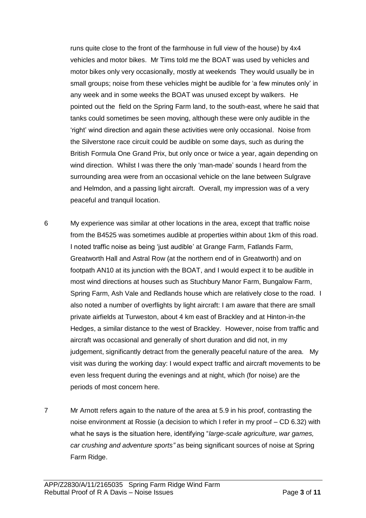runs quite close to the front of the farmhouse in full view of the house) by 4x4 vehicles and motor bikes. Mr Tims told me the BOAT was used by vehicles and motor bikes only very occasionally, mostly at weekends They would usually be in small groups; noise from these vehicles might be audible for 'a few minutes only' in any week and in some weeks the BOAT was unused except by walkers. He pointed out the field on the Spring Farm land, to the south-east, where he said that tanks could sometimes be seen moving, although these were only audible in the 'right' wind direction and again these activities were only occasional. Noise from the Silverstone race circuit could be audible on some days, such as during the British Formula One Grand Prix, but only once or twice a year, again depending on wind direction. Whilst I was there the only 'man-made' sounds I heard from the surrounding area were from an occasional vehicle on the lane between Sulgrave and Helmdon, and a passing light aircraft. Overall, my impression was of a very peaceful and tranquil location.

6 My experience was similar at other locations in the area, except that traffic noise from the B4525 was sometimes audible at properties within about 1km of this road. I noted traffic noise as being 'just audible' at Grange Farm, Fatlands Farm, Greatworth Hall and Astral Row (at the northern end of in Greatworth) and on footpath AN10 at its junction with the BOAT, and I would expect it to be audible in most wind directions at houses such as Stuchbury Manor Farm, Bungalow Farm, Spring Farm, Ash Vale and Redlands house which are relatively close to the road. I also noted a number of overflights by light aircraft: I am aware that there are small private airfields at Turweston, about 4 km east of Brackley and at Hinton-in-the Hedges, a similar distance to the west of Brackley. However, noise from traffic and aircraft was occasional and generally of short duration and did not, in my judgement, significantly detract from the generally peaceful nature of the area. My visit was during the working day: I would expect traffic and aircraft movements to be even less frequent during the evenings and at night, which (for noise) are the periods of most concern here.

7 Mr Arnott refers again to the nature of the area at 5.9 in his proof, contrasting the noise environment at Rossie (a decision to which I refer in my proof – CD 6.32) with what he says is the situation here, identifying "*large-scale agriculture, war games, car crushing and adventure sports"* as being significant sources of noise at Spring Farm Ridge.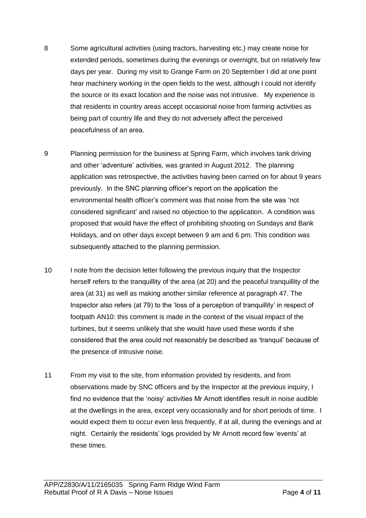- 8 Some agricultural activities (using tractors, harvesting etc.) may create noise for extended periods, sometimes during the evenings or overnight, but on relatively few days per year. During my visit to Grange Farm on 20 September I did at one point hear machinery working in the open fields to the west, although I could not identify the source or its exact location and the noise was not intrusive. My experience is that residents in country areas accept occasional noise from farming activities as being part of country life and they do not adversely affect the perceived peacefulness of an area.
- 9 Planning permission for the business at Spring Farm, which involves tank driving and other 'adventure' activities, was granted in August 2012. The planning application was retrospective, the activities having been carried on for about 9 years previously. In the SNC planning officer's report on the application the environmental health officer's comment was that noise from the site was 'not considered significant' and raised no objection to the application. A condition was proposed that would have the effect of prohibiting shooting on Sundays and Bank Holidays, and on other days except between 9 am and 6 pm. This condition was subsequently attached to the planning permission.
- 10 I note from the decision letter following the previous inquiry that the Inspector herself refers to the tranquillity of the area (at 20) and the peaceful tranquillity of the area (at 31) as well as making another similar reference at paragraph 47. The Inspector also refers (at 79) to the 'loss of a perception of tranquillity' in respect of footpath AN10: this comment is made in the context of the visual impact of the turbines, but it seems unlikely that she would have used these words if she considered that the area could not reasonably be described as 'tranquil' because of the presence of intrusive noise.
- 11 From my visit to the site, from information provided by residents, and from observations made by SNC officers and by the Inspector at the previous inquiry, I find no evidence that the 'noisy' activities Mr Arnott identifies result in noise audible at the dwellings in the area, except very occasionally and for short periods of time. I would expect them to occur even less frequently, if at all, during the evenings and at night. Certainly the residents' logs provided by Mr Arnott record few 'events' at these times.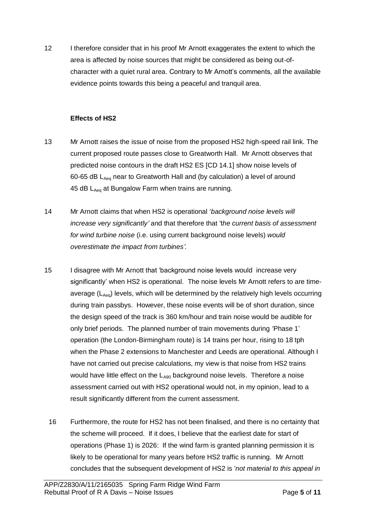12 I therefore consider that in his proof Mr Arnott exaggerates the extent to which the area is affected by noise sources that might be considered as being out-ofcharacter with a quiet rural area. Contrary to Mr Arnott's comments, all the available evidence points towards this being a peaceful and tranquil area.

#### **Effects of HS2**

- 13 Mr Arnott raises the issue of noise from the proposed HS2 high-speed rail link. The current proposed route passes close to Greatworth Hall. Mr Arnott observes that predicted noise contours in the draft HS2 ES [CD 14.1] show noise levels of 60-65 dB LAeq near to Greatworth Hall and (by calculation) a level of around 45 dB LAeq at Bungalow Farm when trains are running.
- 14 Mr Arnott claims that when HS2 is operational '*background noise levels will increase very significantly'* and that therefore that 't*he current basis of assessment for wind turbine noise* (i.e. using current background noise levels) *would overestimate the impact from turbines'.*
- 15 I disagree with Mr Arnott that 'background noise levels would increase very significantly' when HS2 is operational. The noise levels Mr Arnott refers to are timeaverage ( $L_{\text{dec}}$ ) levels, which will be determined by the relatively high levels occurring during train passbys. However, these noise events will be of short duration, since the design speed of the track is 360 km/hour and train noise would be audible for only brief periods. The planned number of train movements during 'Phase 1' operation (the London-Birmingham route) is 14 trains per hour, rising to 18 tph when the Phase 2 extensions to Manchester and Leeds are operational. Although I have not carried out precise calculations, my view is that noise from HS2 trains would have little effect on the  $L_{A90}$  background noise levels. Therefore a noise assessment carried out with HS2 operational would not, in my opinion, lead to a result significantly different from the current assessment.
	- 16 Furthermore, the route for HS2 has not been finalised, and there is no certainty that the scheme will proceed. If it does, I believe that the earliest date for start of operations (Phase 1) is 2026: If the wind farm is granted planning permission it is likely to be operational for many years before HS2 traffic is running. Mr Arnott concludes that the subsequent development of HS2 is '*not material to this appeal in*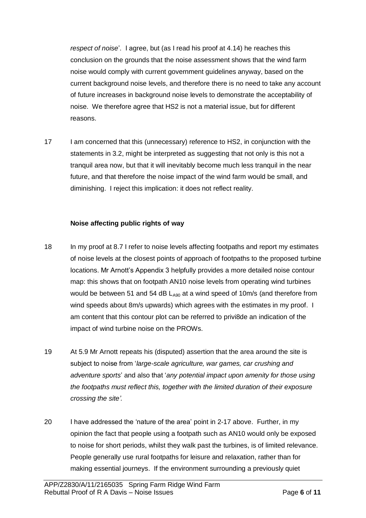*respect of noise*'. I agree, but (as I read his proof at 4.14) he reaches this conclusion on the grounds that the noise assessment shows that the wind farm noise would comply with current government guidelines anyway, based on the current background noise levels, and therefore there is no need to take any account of future increases in background noise levels to demonstrate the acceptability of noise. We therefore agree that HS2 is not a material issue, but for different reasons.

17 I am concerned that this (unnecessary) reference to HS2, in conjunction with the statements in 3.2, might be interpreted as suggesting that not only is this not a tranquil area now, but that it will inevitably become much less tranquil in the near future, and that therefore the noise impact of the wind farm would be small, and diminishing. I reject this implication: it does not reflect reality.

#### **Noise affecting public rights of way**

- 18 In my proof at 8.7 I refer to noise levels affecting footpaths and report my estimates of noise levels at the closest points of approach of footpaths to the proposed turbine locations. Mr Arnott's Appendix 3 helpfully provides a more detailed noise contour map: this shows that on footpath AN10 noise levels from operating wind turbines would be between 51 and 54 dB  $L_{490}$  at a wind speed of 10m/s (and therefore from wind speeds about 8m/s upwards) which agrees with the estimates in my proof. I am content that this contour plot can be referred to privi8de an indication of the impact of wind turbine noise on the PROWs.
- 19 At 5.9 Mr Arnott repeats his (disputed) assertion that the area around the site is subject to noise from '*large-scale agriculture, war games, car crushing and adventure sports*' and also that '*any potential impact upon amenity for those using the footpaths must reflect this, together with the limited duration of their exposure crossing the site'.*
- 20 I have addressed the 'nature of the area' point in 2-17 above. Further, in my opinion the fact that people using a footpath such as AN10 would only be exposed to noise for short periods, whilst they walk past the turbines, is of limited relevance. People generally use rural footpaths for leisure and relaxation, rather than for making essential journeys. If the environment surrounding a previously quiet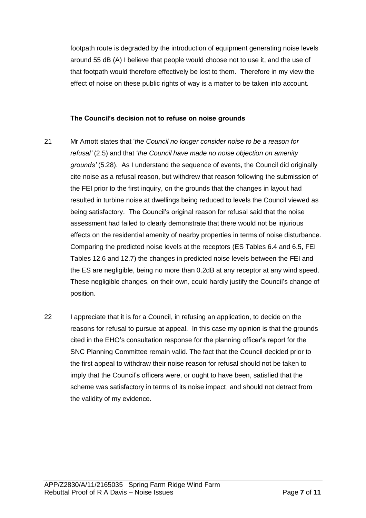footpath route is degraded by the introduction of equipment generating noise levels around 55 dB (A) I believe that people would choose not to use it, and the use of that footpath would therefore effectively be lost to them. Therefore in my view the effect of noise on these public rights of way is a matter to be taken into account.

#### **The Council's decision not to refuse on noise grounds**

- 21 Mr Arnott states that '*the Council no longer consider noise to be a reason for refusal'* (2.5) and that '*the Council have made no noise objection on amenity grounds'* (5.28). As I understand the sequence of events, the Council did originally cite noise as a refusal reason, but withdrew that reason following the submission of the FEI prior to the first inquiry, on the grounds that the changes in layout had resulted in turbine noise at dwellings being reduced to levels the Council viewed as being satisfactory. The Council's original reason for refusal said that the noise assessment had failed to clearly demonstrate that there would not be injurious effects on the residential amenity of nearby properties in terms of noise disturbance. Comparing the predicted noise levels at the receptors (ES Tables 6.4 and 6.5, FEI Tables 12.6 and 12.7) the changes in predicted noise levels between the FEI and the ES are negligible, being no more than 0.2dB at any receptor at any wind speed. These negligible changes, on their own, could hardly justify the Council's change of position.
- 22 I appreciate that it is for a Council, in refusing an application, to decide on the reasons for refusal to pursue at appeal. In this case my opinion is that the grounds cited in the EHO's consultation response for the planning officer's report for the SNC Planning Committee remain valid. The fact that the Council decided prior to the first appeal to withdraw their noise reason for refusal should not be taken to imply that the Council's officers were, or ought to have been, satisfied that the scheme was satisfactory in terms of its noise impact, and should not detract from the validity of my evidence.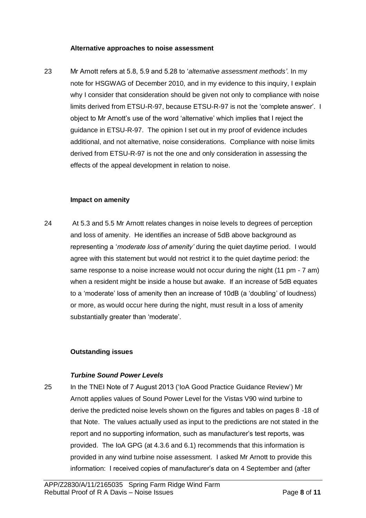#### **Alternative approaches to noise assessment**

23 Mr Arnott refers at 5.8, 5.9 and 5.28 to '*alternative assessment methods'*. In my note for HSGWAG of December 2010, and in my evidence to this inquiry, I explain why I consider that consideration should be given not only to compliance with noise limits derived from ETSU-R-97, because ETSU-R-97 is not the 'complete answer'. I object to Mr Arnott's use of the word 'alternative' which implies that I reject the guidance in ETSU-R-97. The opinion I set out in my proof of evidence includes additional, and not alternative, noise considerations. Compliance with noise limits derived from ETSU-R-97 is not the one and only consideration in assessing the effects of the appeal development in relation to noise.

#### **Impact on amenity**

24 At 5.3 and 5.5 Mr Arnott relates changes in noise levels to degrees of perception and loss of amenity. He identifies an increase of 5dB above background as representing a '*moderate loss of amenity'* during the quiet daytime period. I would agree with this statement but would not restrict it to the quiet daytime period: the same response to a noise increase would not occur during the night (11 pm - 7 am) when a resident might be inside a house but awake. If an increase of 5dB equates to a 'moderate' loss of amenity then an increase of 10dB (a 'doubling' of loudness) or more, as would occur here during the night, must result in a loss of amenity substantially greater than 'moderate'.

#### **Outstanding issues**

#### *Turbine Sound Power Levels*

25 In the TNEI Note of 7 August 2013 ('IoA Good Practice Guidance Review') Mr Arnott applies values of Sound Power Level for the Vistas V90 wind turbine to derive the predicted noise levels shown on the figures and tables on pages 8 -18 of that Note. The values actually used as input to the predictions are not stated in the report and no supporting information, such as manufacturer's test reports, was provided. The IoA GPG (at 4.3.6 and 6.1) recommends that this information is provided in any wind turbine noise assessment. I asked Mr Arnott to provide this information: I received copies of manufacturer's data on 4 September and (after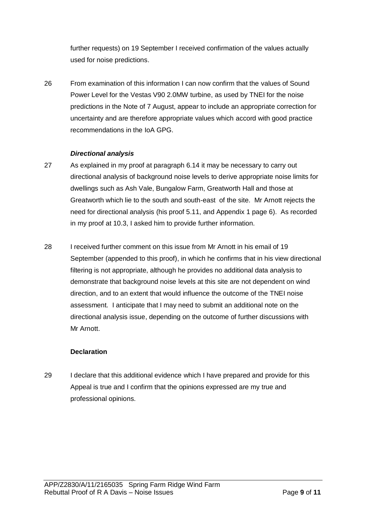further requests) on 19 September I received confirmation of the values actually used for noise predictions.

26 From examination of this information I can now confirm that the values of Sound Power Level for the Vestas V90 2.0MW turbine, as used by TNEI for the noise predictions in the Note of 7 August, appear to include an appropriate correction for uncertainty and are therefore appropriate values which accord with good practice recommendations in the IoA GPG.

#### *Directional analysis*

- 27 As explained in my proof at paragraph 6.14 it may be necessary to carry out directional analysis of background noise levels to derive appropriate noise limits for dwellings such as Ash Vale, Bungalow Farm, Greatworth Hall and those at Greatworth which lie to the south and south-east of the site. Mr Arnott rejects the need for directional analysis (his proof 5.11, and Appendix 1 page 6). As recorded in my proof at 10.3, I asked him to provide further information.
- 28 I received further comment on this issue from Mr Arnott in his email of 19 September (appended to this proof), in which he confirms that in his view directional filtering is not appropriate, although he provides no additional data analysis to demonstrate that background noise levels at this site are not dependent on wind direction, and to an extent that would influence the outcome of the TNEI noise assessment. I anticipate that I may need to submit an additional note on the directional analysis issue, depending on the outcome of further discussions with Mr Arnott

#### **Declaration**

29 I declare that this additional evidence which I have prepared and provide for this Appeal is true and I confirm that the opinions expressed are my true and professional opinions.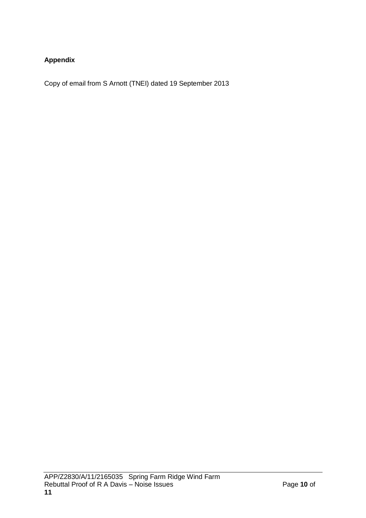### **Appendix**

Copy of email from S Arnott (TNEI) dated 19 September 2013